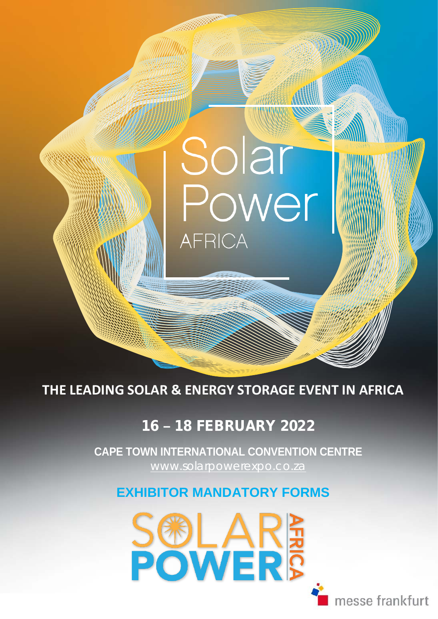**THE LEADING SOLAR & ENERGY STORAGE EVENT IN AFRICA**

**AFRICA** 

Solar

# 16 **–** 18 FEBRUARY 2022

 [www.solarpowerexpo.co.za](http://www.solarpowerexpo.co.za/) **CAPE TOWN INTERNATIONAL CONVENTION CENTRE**

### **EXHIBITOR MANDATORY FORMS**



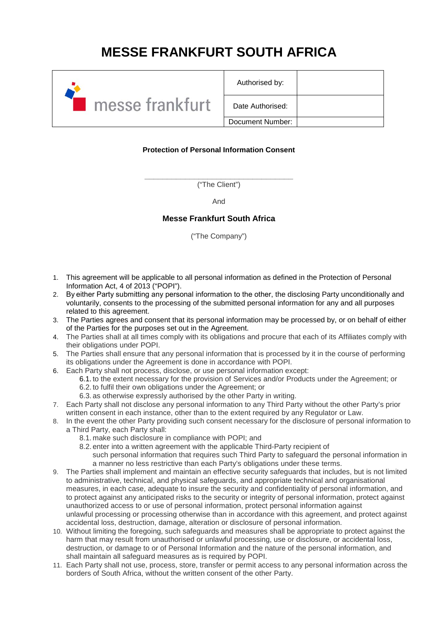# **MESSE FRANKFURT SOUTH AFRICA**



| Authorised by:   |  |
|------------------|--|
| Date Authorised: |  |
| Document Number: |  |

### **Protection of Personal Information Consent**

**\_\_\_\_\_\_\_\_\_\_\_\_\_\_\_\_\_\_\_\_\_\_\_\_\_\_\_\_\_\_\_\_\_** ("The Client")

And

### **Messe Frankfurt South Africa**

("The Company")

- 1. This agreement will be applicable to all personal information as defined in the Protection of Personal Information Act, 4 of 2013 ("POPI").
- 2. By either Party submitting any personal information to the other, the disclosing Party unconditionally and voluntarily, consents to the processing of the submitted personal information for any and all purposes related to this agreement.
- 3. The Parties agrees and consent that its personal information may be processed by, or on behalf of either of the Parties for the purposes set out in the Agreement.
- 4. The Parties shall at all times comply with its obligations and procure that each of its Affiliates comply with their obligations under POPI.
- 5. The Parties shall ensure that any personal information that is processed by it in the course of performing its obligations under the Agreement is done in accordance with POPI.
- 6. Each Party shall not process, disclose, or use personal information except:
	- 6.1. to the extent necessary for the provision of Services and/or Products under the Agreement; or 6.2. to fulfil their own obligations under the Agreement; or
	- 6.3. as otherwise expressly authorised by the other Party in writing.
- 7. Each Party shall not disclose any personal information to any Third Party without the other Party's prior written consent in each instance, other than to the extent required by any Regulator or Law.
- 8. In the event the other Party providing such consent necessary for the disclosure of personal information to a Third Party, each Party shall:
	- 8.1. make such disclosure in compliance with POPI; and
	- 8.2. enter into a written agreement with the applicable Third-Party recipient of
		- such personal information that requires such Third Party to safeguard the personal information in a manner no less restrictive than each Party's obligations under these terms.
- 9. The Parties shall implement and maintain an effective security safeguards that includes, but is not limited to administrative, technical, and physical safeguards, and appropriate technical and organisational measures, in each case, adequate to insure the security and confidentiality of personal information, and to protect against any anticipated risks to the security or integrity of personal information, protect against unauthorized access to or use of personal information, protect personal information against unlawful processing or processing otherwise than in accordance with this agreement, and protect against accidental loss, destruction, damage, alteration or disclosure of personal information.
- 10. Without limiting the foregoing, such safeguards and measures shall be appropriate to protect against the harm that may result from unauthorised or unlawful processing, use or disclosure, or accidental loss, destruction, or damage to or of Personal Information and the nature of the personal information, and shall maintain all safeguard measures as is required by POPI.
- 11. Each Party shall not use, process, store, transfer or permit access to any personal information across the borders of South Africa, without the written consent of the other Party.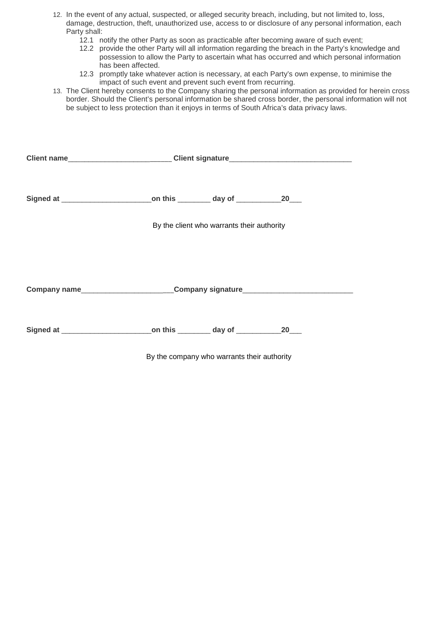- 12. In the event of any actual, suspected, or alleged security breach, including, but not limited to, loss, damage, destruction, theft, unauthorized use, access to or disclosure of any personal information, each Party shall:
	- 12.1 notify the other Party as soon as practicable after becoming aware of such event;
	- 12.2 provide the other Party will all information regarding the breach in the Party's knowledge and possession to allow the Party to ascertain what has occurred and which personal information has been affected.
	- 12.3 promptly take whatever action is necessary, at each Party's own expense, to minimise the impact of such event and prevent such event from recurring.
- 13. The Client hereby consents to the Company sharing the personal information as provided for herein cross border. Should the Client's personal information be shared cross border, the personal information will not be subject to less protection than it enjoys in terms of South Africa's data privacy laws.

|                                                                                  | Client name_________________________Client signature____________________________ |                                            |                     |  |
|----------------------------------------------------------------------------------|----------------------------------------------------------------------------------|--------------------------------------------|---------------------|--|
|                                                                                  |                                                                                  |                                            |                     |  |
|                                                                                  |                                                                                  | By the client who warrants their authority |                     |  |
| Company name____________________________Company signature_______________________ |                                                                                  |                                            |                     |  |
| Signed at ______________________________on this __________ day of ______________ |                                                                                  |                                            | $20$ <sub>___</sub> |  |

By the company who warrants their authority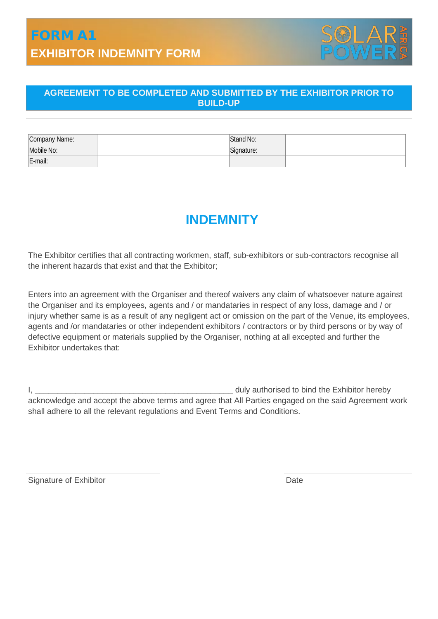# FORM A1 **EXHIBITOR INDEMNITY FORM**



### **AGREEMENT TO BE COMPLETED AND SUBMITTED BY THE EXHIBITOR PRIOR TO BUILD-UP**

| Company Name: | Stand No:  |  |
|---------------|------------|--|
| Mobile No:    | Signature: |  |
| E-mail:       |            |  |

## **INDEMNITY**

The Exhibitor certifies that all contracting workmen, staff, sub-exhibitors or sub-contractors recognise all the inherent hazards that exist and that the Exhibitor;

Enters into an agreement with the Organiser and thereof waivers any claim of whatsoever nature against the Organiser and its employees, agents and / or mandataries in respect of any loss, damage and / or injury whether same is as a result of any negligent act or omission on the part of the Venue, its employees, agents and /or mandataries or other independent exhibitors / contractors or by third persons or by way of defective equipment or materials supplied by the Organiser, nothing at all excepted and further the Exhibitor undertakes that:

I, \_\_\_\_\_\_\_\_\_\_\_\_\_\_\_\_\_\_\_\_\_\_\_\_\_\_\_\_\_\_\_\_\_\_\_\_\_\_\_\_\_\_\_\_ duly authorised to bind the Exhibitor hereby acknowledge and accept the above terms and agree that All Parties engaged on the said Agreement work shall adhere to all the relevant regulations and Event Terms and Conditions.

Signature of Exhibitor Date Date Date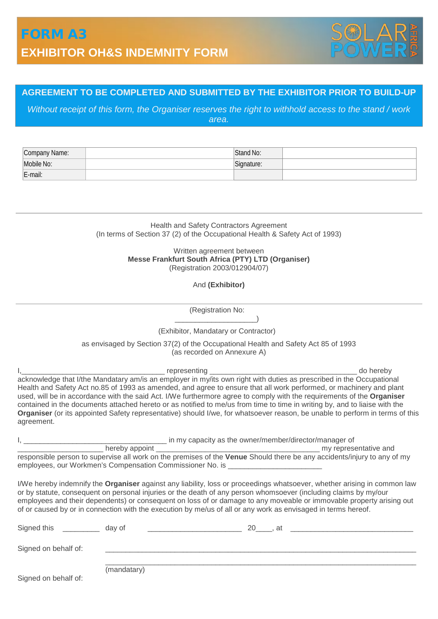

### **AGREEMENT TO BE COMPLETED AND SUBMITTED BY THE EXHIBITOR PRIOR TO BUILD-UP**

*Without receipt of this form, the Organiser reserves the right to withhold access to the stand / work area.*

| Company Name: | Stand No:            |  |
|---------------|----------------------|--|
| Mobile No:    | $\sim$<br>Sianature. |  |
| E-mail:       |                      |  |

Health and Safety Contractors Agreement (In terms of Section 37 (2) of the Occupational Health & Safety Act of 1993)

### Written agreement between **Messe Frankfurt South Africa (PTY) LTD (Organiser)** (Registration 2003/012904/07)

And **(Exhibitor)**

(Registration No: \_\_\_\_\_\_\_\_\_\_\_\_\_\_\_\_\_\_\_\_)

### (Exhibitor, Mandatary or Contractor)

as envisaged by Section 37(2) of the Occupational Health and Safety Act 85 of 1993 (as recorded on Annexure A)

| agreement.                       |             |                                                                                  | I, 1. extending to the Mandatary am/is an employer in my/its own right with duties as prescribed in the Occupational acknowledge that I/the Mandatary am/is an employer in my/its own right with duties as prescribed in the O<br>Health and Safety Act no.85 of 1993 as amended, and agree to ensure that all work performed, or machinery and plant<br>used, will be in accordance with the said Act. I/We furthermore agree to comply with the requirements of the Organiser<br>contained in the documents attached hereto or as notified to me/us from time to time in writing by, and to liaise with the<br>Organiser (or its appointed Safety representative) should I/we, for whatsoever reason, be unable to perform in terms of this |
|----------------------------------|-------------|----------------------------------------------------------------------------------|-----------------------------------------------------------------------------------------------------------------------------------------------------------------------------------------------------------------------------------------------------------------------------------------------------------------------------------------------------------------------------------------------------------------------------------------------------------------------------------------------------------------------------------------------------------------------------------------------------------------------------------------------------------------------------------------------------------------------------------------------|
|                                  |             |                                                                                  |                                                                                                                                                                                                                                                                                                                                                                                                                                                                                                                                                                                                                                                                                                                                               |
|                                  |             |                                                                                  |                                                                                                                                                                                                                                                                                                                                                                                                                                                                                                                                                                                                                                                                                                                                               |
|                                  |             | employees, our Workmen's Compensation Commissioner No. is ______________________ | responsible person to supervise all work on the premises of the Venue Should there be any accidents/injury to any of my                                                                                                                                                                                                                                                                                                                                                                                                                                                                                                                                                                                                                       |
|                                  |             |                                                                                  | I/We hereby indemnify the Organiser against any liability, loss or proceedings whatsoever, whether arising in common law<br>or by statute, consequent on personal injuries or the death of any person whomsoever (including claims by my/our<br>employees and their dependents) or consequent on loss of or damage to any moveable or immovable property arising out<br>of or caused by or in connection with the execution by me/us of all or any work as envisaged in terms hereof.                                                                                                                                                                                                                                                         |
| Signed this _____________ day of |             |                                                                                  |                                                                                                                                                                                                                                                                                                                                                                                                                                                                                                                                                                                                                                                                                                                                               |
| Signed on behalf of:             |             |                                                                                  |                                                                                                                                                                                                                                                                                                                                                                                                                                                                                                                                                                                                                                                                                                                                               |
|                                  | (mandatary) |                                                                                  |                                                                                                                                                                                                                                                                                                                                                                                                                                                                                                                                                                                                                                                                                                                                               |

Signed on behalf of: